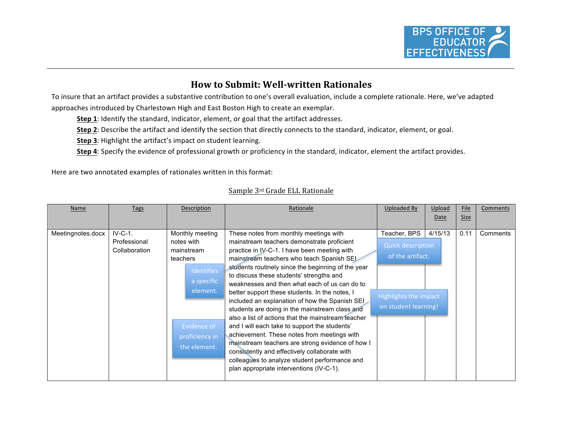

## **How to Submit: Well-written Rationales**

To insure that an artifact provides a substantive contribution to one's overall evaluation, include a complete rationale. Here, we've adapted approaches introduced by Charlestown High and East Boston High to create an exemplar.

- **Step 1**: Identify the standard, indicator, element, or goal that the artifact addresses.
- Step 2: Describe the artifact and identify the section that directly connects to the standard, indicator, element, or goal.
- **Step 3**: Highlight the artifact's impact on student learning.
- Step 4: Specify the evidence of professional growth or proficiency in the standard, indicator, element the artifact provides.

Here are two annotated examples of rationales written in this format:

## Sample 3rd Grade ELL Rationale

| Name              | Tags                                       | Description                                                                                                                                      | Rationale                                                                                                                                                                                                                                                                                                                                                                                                                                                                                                                                                                                                                                                                                                                                                                                                                                          | Uploaded By                                                                                                   | Upload<br>Date | File<br><b>Size</b> | Comments |
|-------------------|--------------------------------------------|--------------------------------------------------------------------------------------------------------------------------------------------------|----------------------------------------------------------------------------------------------------------------------------------------------------------------------------------------------------------------------------------------------------------------------------------------------------------------------------------------------------------------------------------------------------------------------------------------------------------------------------------------------------------------------------------------------------------------------------------------------------------------------------------------------------------------------------------------------------------------------------------------------------------------------------------------------------------------------------------------------------|---------------------------------------------------------------------------------------------------------------|----------------|---------------------|----------|
| Meetingnotes.docx | $IV-C-1.$<br>Professional<br>Collaboration | Monthly meeting<br>notes with<br>mainstream<br>teachers<br>Identifies<br>a specific<br>element.<br>Evidence of<br>proficiency in<br>the element. | These notes from monthly meetings with<br>mainstream teachers demonstrate proficient<br>practice in IV-C-1. I have been meeting with<br>mainstream teachers who teach Spanish SEL<br>students routinely since the beginning of the year<br>to discuss these students' strengths and<br>weaknesses and then what each of us can do to<br>better support these students. In the notes, I<br>included an explanation of how the Spanish SEI<br>students are doing in the mainstream class and<br>also a list of actions that the mainstream teacher<br>and I will each take to support the students'<br>achievement. These notes from meetings with<br>mainstream teachers are strong evidence of how I<br>consistently and effectively collaborate with<br>colleagues to analyze student performance and<br>plan appropriate interventions (IV-C-1). | Teacher, BPS<br><b>Quick description</b><br>of the artifact.<br>Highlights the impact<br>on student learning! | 4/15/13        | 0.11                | Comments |